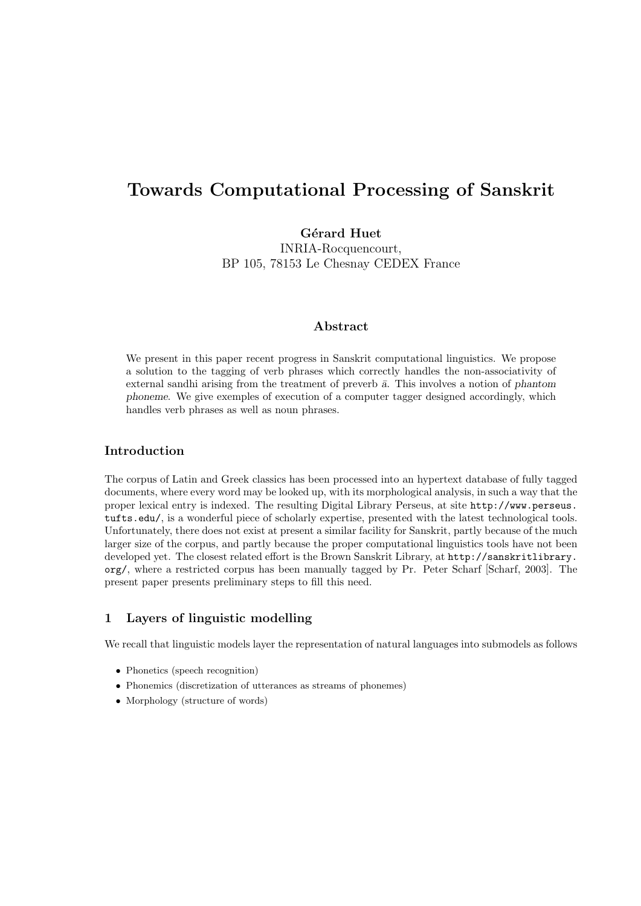# Towards Computational Processing of Sanskrit

Gérard Huet INRIA-Rocquencourt, BP 105, 78153 Le Chesnay CEDEX France

## Abstract

We present in this paper recent progress in Sanskrit computational linguistics. We propose a solution to the tagging of verb phrases which correctly handles the non-associativity of external sandhi arising from the treatment of preverb  $\bar{a}$ . This involves a notion of phantom phoneme. We give exemples of execution of a computer tagger designed accordingly, which handles verb phrases as well as noun phrases.

## Introduction

The corpus of Latin and Greek classics has been processed into an hypertext database of fully tagged documents, where every word may be looked up, with its morphological analysis, in such a way that the proper lexical entry is indexed. The resulting Digital Library Perseus, at site http://www.perseus. tufts.edu/, is a wonderful piece of scholarly expertise, presented with the latest technological tools. Unfortunately, there does not exist at present a similar facility for Sanskrit, partly because of the much larger size of the corpus, and partly because the proper computational linguistics tools have not been developed yet. The closest related effort is the Brown Sanskrit Library, at http://sanskritlibrary. org/, where a restricted corpus has been manually tagged by Pr. Peter Scharf [Scharf, 2003]. The present paper presents preliminary steps to fill this need.

## 1 Layers of linguistic modelling

We recall that linguistic models layer the representation of natural languages into submodels as follows

- Phonetics (speech recognition)
- Phonemics (discretization of utterances as streams of phonemes)
- Morphology (structure of words)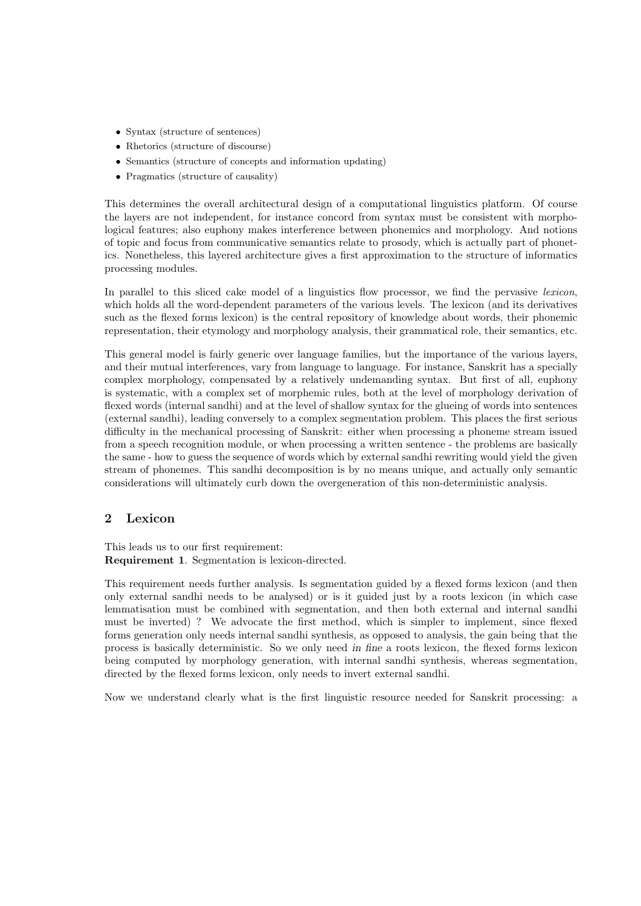- Syntax (structure of sentences)
- Rhetorics (structure of discourse)
- Semantics (structure of concepts and information updating)
- Pragmatics (structure of causality)

This determines the overall architectural design of a computational linguistics platform. Of course the layers are not independent, for instance concord from syntax must be consistent with morphological features; also euphony makes interference between phonemics and morphology. And notions of topic and focus from communicative semantics relate to prosody, which is actually part of phonetics. Nonetheless, this layered architecture gives a first approximation to the structure of informatics processing modules.

In parallel to this sliced cake model of a linguistics flow processor, we find the pervasive lexicon, which holds all the word-dependent parameters of the various levels. The lexicon (and its derivatives such as the flexed forms lexicon) is the central repository of knowledge about words, their phonemic representation, their etymology and morphology analysis, their grammatical role, their semantics, etc.

This general model is fairly generic over language families, but the importance of the various layers, and their mutual interferences, vary from language to language. For instance, Sanskrit has a specially complex morphology, compensated by a relatively undemanding syntax. But first of all, euphony is systematic, with a complex set of morphemic rules, both at the level of morphology derivation of flexed words (internal sandhi) and at the level of shallow syntax for the glueing of words into sentences (external sandhi), leading conversely to a complex segmentation problem. This places the first serious difficulty in the mechanical processing of Sanskrit: either when processing a phoneme stream issued from a speech recognition module, or when processing a written sentence - the problems are basically the same - how to guess the sequence of words which by external sandhi rewriting would yield the given stream of phonemes. This sandhi decomposition is by no means unique, and actually only semantic considerations will ultimately curb down the overgeneration of this non-deterministic analysis.

# 2 Lexicon

This leads us to our first requirement: Requirement 1. Segmentation is lexicon-directed.

This requirement needs further analysis. Is segmentation guided by a flexed forms lexicon (and then only external sandhi needs to be analysed) or is it guided just by a roots lexicon (in which case lemmatisation must be combined with segmentation, and then both external and internal sandhi must be inverted) ? We advocate the first method, which is simpler to implement, since flexed forms generation only needs internal sandhi synthesis, as opposed to analysis, the gain being that the process is basically deterministic. So we only need in fine a roots lexicon, the flexed forms lexicon being computed by morphology generation, with internal sandhi synthesis, whereas segmentation, directed by the flexed forms lexicon, only needs to invert external sandhi.

Now we understand clearly what is the first linguistic resource needed for Sanskrit processing: a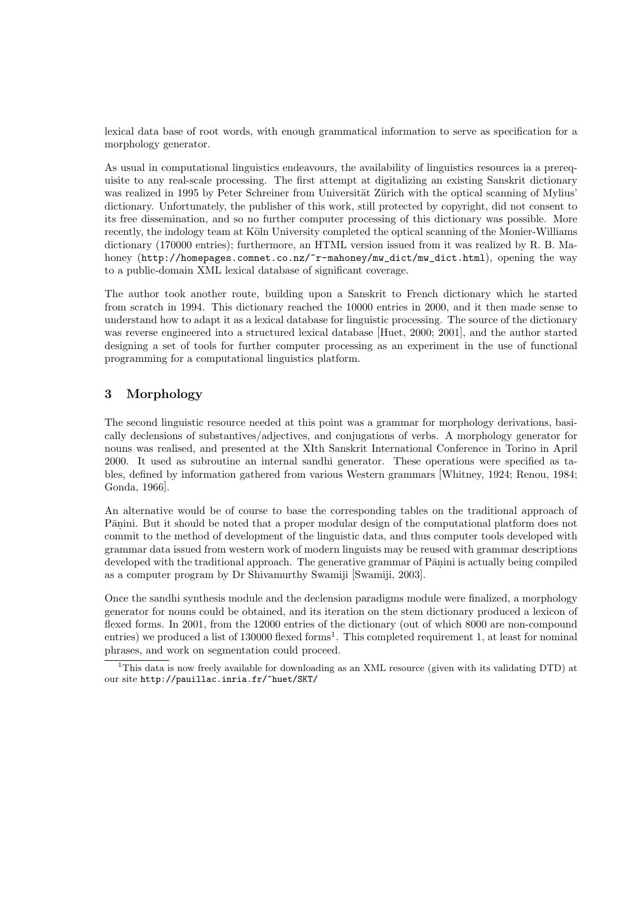lexical data base of root words, with enough grammatical information to serve as specification for a morphology generator.

As usual in computational linguistics endeavours, the availability of linguistics resources ia a prerequisite to any real-scale processing. The first attempt at digitalizing an existing Sanskrit dictionary was realized in 1995 by Peter Schreiner from Universität Zürich with the optical scanning of Mylius' dictionary. Unfortunately, the publisher of this work, still protected by copyright, did not consent to its free dissemination, and so no further computer processing of this dictionary was possible. More recently, the indology team at Köln University completed the optical scanning of the Monier-Williams dictionary (170000 entries); furthermore, an HTML version issued from it was realized by R. B. Mahoney (http://homepages.comnet.co.nz/~r-mahoney/mw\_dict/mw\_dict.html), opening the way to a public-domain XML lexical database of significant coverage.

The author took another route, building upon a Sanskrit to French dictionary which he started from scratch in 1994. This dictionary reached the 10000 entries in 2000, and it then made sense to understand how to adapt it as a lexical database for linguistic processing. The source of the dictionary was reverse engineered into a structured lexical database [Huet, 2000; 2001], and the author started designing a set of tools for further computer processing as an experiment in the use of functional programming for a computational linguistics platform.

# 3 Morphology

The second linguistic resource needed at this point was a grammar for morphology derivations, basically declensions of substantives/adjectives, and conjugations of verbs. A morphology generator for nouns was realised, and presented at the XIth Sanskrit International Conference in Torino in April 2000. It used as subroutine an internal sandhi generator. These operations were specified as tables, defined by information gathered from various Western grammars [Whitney, 1924; Renou, 1984; Gonda, 1966].

An alternative would be of course to base the corresponding tables on the traditional approach of Pāṇini. But it should be noted that a proper modular design of the computational platform does not commit to the method of development of the linguistic data, and thus computer tools developed with grammar data issued from western work of modern linguists may be reused with grammar descriptions developed with the traditional approach. The generative grammar of Pānini is actually being compiled as a computer program by Dr Shivamurthy Swamiji [Swamiji, 2003].

Once the sandhi synthesis module and the declension paradigms module were finalized, a morphology generator for nouns could be obtained, and its iteration on the stem dictionary produced a lexicon of flexed forms. In 2001, from the 12000 entries of the dictionary (out of which 8000 are non-compound entries) we produced a list of 130000 flexed forms<sup>1</sup>. This completed requirement 1, at least for nominal phrases, and work on segmentation could proceed.

<sup>1</sup>This data is now freely available for downloading as an XML resource (given with its validating DTD) at our site http://pauillac.inria.fr/~huet/SKT/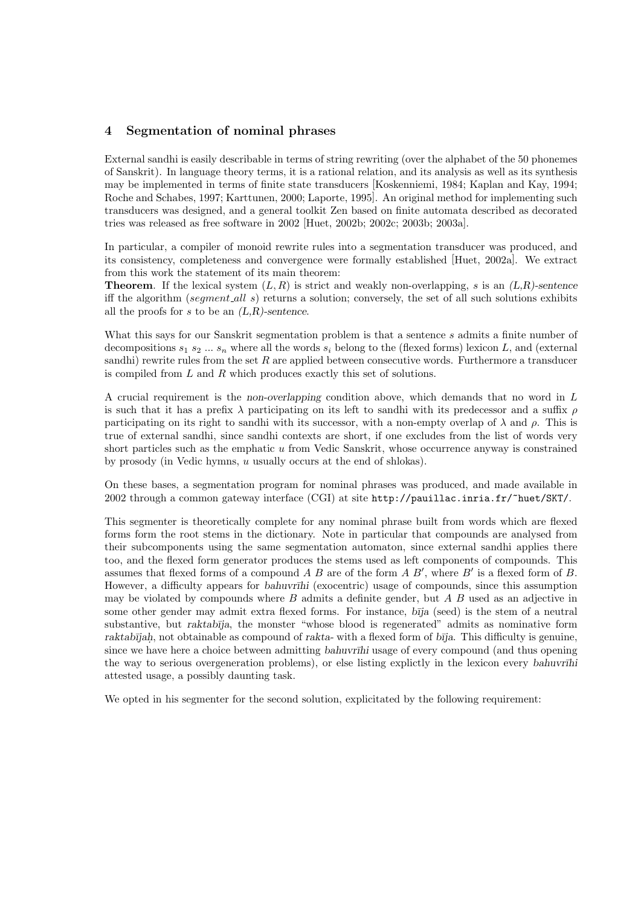#### 4 Segmentation of nominal phrases

External sandhi is easily describable in terms of string rewriting (over the alphabet of the 50 phonemes of Sanskrit). In language theory terms, it is a rational relation, and its analysis as well as its synthesis may be implemented in terms of finite state transducers [Koskenniemi, 1984; Kaplan and Kay, 1994; Roche and Schabes, 1997; Karttunen, 2000; Laporte, 1995]. An original method for implementing such transducers was designed, and a general toolkit Zen based on finite automata described as decorated tries was released as free software in 2002 [Huet, 2002b; 2002c; 2003b; 2003a].

In particular, a compiler of monoid rewrite rules into a segmentation transducer was produced, and its consistency, completeness and convergence were formally established [Huet, 2002a]. We extract from this work the statement of its main theorem:

**Theorem.** If the lexical system  $(L, R)$  is strict and weakly non-overlapping, s is an  $(L, R)$ -sentence iff the algorithm (seqment all s) returns a solution; conversely, the set of all such solutions exhibits all the proofs for s to be an  $(L,R)$ -sentence.

What this says for our Sanskrit segmentation problem is that a sentence s admits a finite number of decompositions  $s_1 s_2 ... s_n$  where all the words  $s_i$  belong to the (flexed forms) lexicon L, and (external sandhi) rewrite rules from the set  $R$  are applied between consecutive words. Furthermore a transducer is compiled from L and R which produces exactly this set of solutions.

A crucial requirement is the non-overlapping condition above, which demands that no word in L is such that it has a prefix  $\lambda$  participating on its left to sandhi with its predecessor and a suffix  $\rho$ participating on its right to sandhi with its successor, with a non-empty overlap of  $\lambda$  and  $\rho$ . This is true of external sandhi, since sandhi contexts are short, if one excludes from the list of words very short particles such as the emphatic u from Vedic Sanskrit, whose occurrence anyway is constrained by prosody (in Vedic hymns, u usually occurs at the end of shlokas).

On these bases, a segmentation program for nominal phrases was produced, and made available in 2002 through a common gateway interface (CGI) at site http://pauillac.inria.fr/~huet/SKT/.

This segmenter is theoretically complete for any nominal phrase built from words which are flexed forms form the root stems in the dictionary. Note in particular that compounds are analysed from their subcomponents using the same segmentation automaton, since external sandhi applies there too, and the flexed form generator produces the stems used as left components of compounds. This assumes that flexed forms of a compound  $A \, B$  are of the form  $A \, B'$ , where  $B'$  is a flexed form of  $B$ . However, a difficulty appears for *bahuvrīhi* (exocentric) usage of compounds, since this assumption may be violated by compounds where  $B$  admits a definite gender, but  $A$   $B$  used as an adjective in some other gender may admit extra flexed forms. For instance,  $b\bar{\eta}a$  (seed) is the stem of a neutral substantive, but raktabīja, the monster "whose blood is regenerated" admits as nominative form raktabījah, not obtainable as compound of rakta- with a flexed form of bīja. This difficulty is genuine, since we have here a choice between admitting bahuvrīhi usage of every compound (and thus opening the way to serious overgeneration problems), or else listing explictly in the lexicon every bahuvr $\overline{a}$ hi attested usage, a possibly daunting task.

We opted in his segmenter for the second solution, explicitated by the following requirement: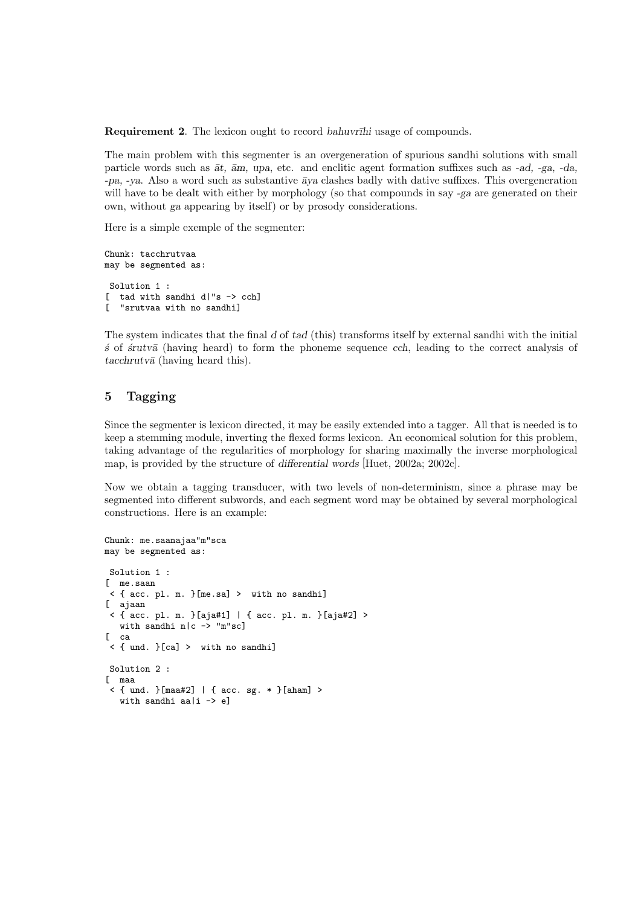**Requirement 2.** The lexicon ought to record bahuvr $\overline{I}$ hi usage of compounds.

The main problem with this segmenter is an overgeneration of spurious sandhi solutions with small particle words such as  $\bar{a}t$ ,  $\bar{a}m$ , upa, etc. and enclitic agent formation suffixes such as -ad, -ga, -da,  $-pa$ ,  $-ya$ . Also a word such as substantive  $\bar{a}ya$  clashes badly with dative suffixes. This overgeneration will have to be dealt with either by morphology (so that compounds in say -ga are generated on their own, without ga appearing by itself) or by prosody considerations.

Here is a simple exemple of the segmenter:

```
Chunk: tacchrutvaa
may be segmented as:
Solution 1 :
[ tad with sandhi d|"s -> cch]
[ "srutvaa with no sandhi]
```
The system indicates that the final d of tad (this) transforms itself by external sandhi with the initial  $\acute{s}$  of  $\acute{s}rutv\bar{a}$  (having heard) to form the phoneme sequence cch, leading to the correct analysis of  $tacchrutv\bar{a}$  (having heard this).

# 5 Tagging

Since the segmenter is lexicon directed, it may be easily extended into a tagger. All that is needed is to keep a stemming module, inverting the flexed forms lexicon. An economical solution for this problem, taking advantage of the regularities of morphology for sharing maximally the inverse morphological map, is provided by the structure of differential words [Huet, 2002a; 2002c].

Now we obtain a tagging transducer, with two levels of non-determinism, since a phrase may be segmented into different subwords, and each segment word may be obtained by several morphological constructions. Here is an example:

```
Chunk: me.saanajaa"m"sca
may be segmented as:
Solution 1 :
[ me.saan
 < { acc. pl. m. }[me.sa] > with no sandhi]
[ ajaan
 < { acc. pl. m. }[aja#1] | { acc. pl. m. }[aja#2] >
   with sandhi n|c -\frac{1}{2} "m"sc]
\begin{bmatrix} \quad c \end{bmatrix}< { und. }[ca] > with no sandhi]
Solution 2 :
[ maa
 < { und. }[maa#2] | { acc. sg. * }[aham] >
   with sandhi aa|i -> e]
```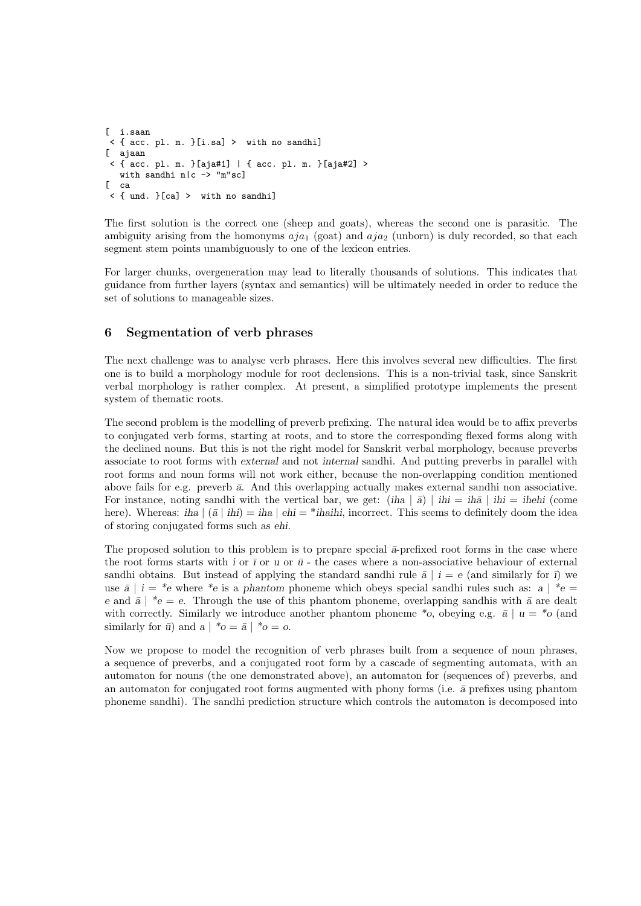```
[ i.saan
< { acc. pl. m. }[i.sa] > with no sandhi]
[ ajaan
< { acc. pl. m. }[aja#1] | { acc. pl. m. }[aja#2] >
  with sandhi n|c - "m"sc]
\int ca
< { und. }[ca] > with no sandhi]
```
The first solution is the correct one (sheep and goats), whereas the second one is parasitic. The ambiguity arising from the homonyms  $aja_1$  (goat) and  $aja_2$  (unborn) is duly recorded, so that each segment stem points unambiguously to one of the lexicon entries.

For larger chunks, overgeneration may lead to literally thousands of solutions. This indicates that guidance from further layers (syntax and semantics) will be ultimately needed in order to reduce the set of solutions to manageable sizes.

# 6 Segmentation of verb phrases

The next challenge was to analyse verb phrases. Here this involves several new difficulties. The first one is to build a morphology module for root declensions. This is a non-trivial task, since Sanskrit verbal morphology is rather complex. At present, a simplified prototype implements the present system of thematic roots.

The second problem is the modelling of preverb prefixing. The natural idea would be to affix preverbs to conjugated verb forms, starting at roots, and to store the corresponding flexed forms along with the declined nouns. But this is not the right model for Sanskrit verbal morphology, because preverbs associate to root forms with external and not internal sandhi. And putting preverbs in parallel with root forms and noun forms will not work either, because the non-overlapping condition mentioned above fails for e.g. preverb  $\bar{a}$ . And this overlapping actually makes external sandhi non associative. For instance, noting sandhi with the vertical bar, we get:  $(iha | \bar{a}) | ihi = iha | ihi = ih\bar{a}$  (come here). Whereas: iha  $|(\bar{a} \mid ihi) = iha | ehi = *ihihi$ , incorrect. This seems to definitely doom the idea of storing conjugated forms such as ehi.

The proposed solution to this problem is to prepare special  $\bar{a}$ -prefixed root forms in the case where the root forms starts with i or  $\bar{\imath}$  or  $\bar{u}$  - the cases where a non-associative behaviour of external sandhi obtains. But instead of applying the standard sandhi rule  $\bar{a} \mid i = e$  (and similarly for  $\bar{\imath}$ ) we use  $\bar{a}$  | i = \*e where \*e is a phantom phoneme which obeys special sandhi rules such as: a | \*e = e and  $\bar{a}$  | \*e = e. Through the use of this phantom phoneme, overlapping sandhis with  $\bar{a}$  are dealt with correctly. Similarly we introduce another phantom phoneme  $*$ o, obeying e.g.  $\bar{a} \mid u = *$ o (and similarly for  $\bar{u}$ ) and  $a \mid {}^{*}o = \bar{a} \mid {}^{*}o = o$ .

Now we propose to model the recognition of verb phrases built from a sequence of noun phrases, a sequence of preverbs, and a conjugated root form by a cascade of segmenting automata, with an automaton for nouns (the one demonstrated above), an automaton for (sequences of) preverbs, and an automaton for conjugated root forms augmented with phony forms (i.e.  $\bar{a}$  prefixes using phantom phoneme sandhi). The sandhi prediction structure which controls the automaton is decomposed into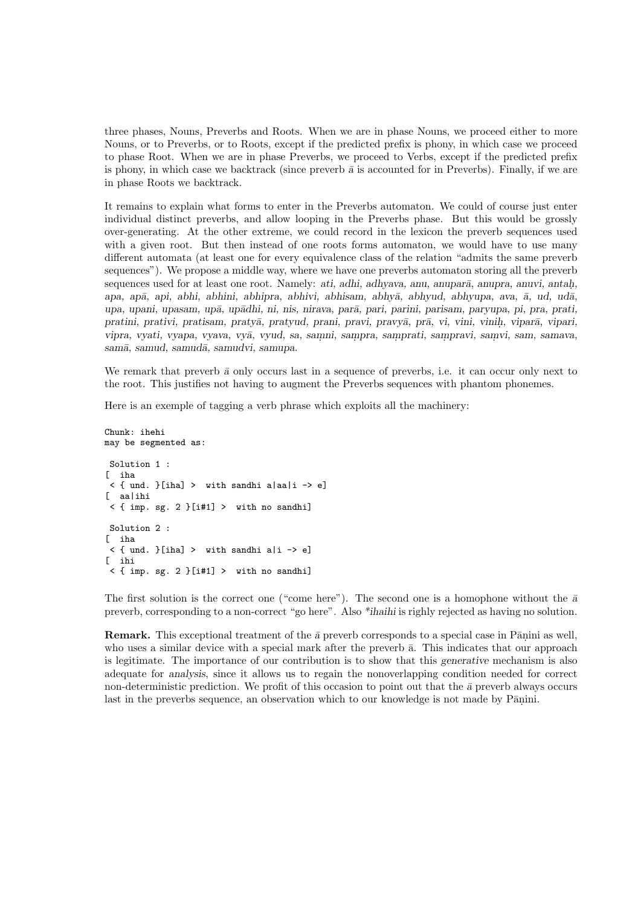three phases, Nouns, Preverbs and Roots. When we are in phase Nouns, we proceed either to more Nouns, or to Preverbs, or to Roots, except if the predicted prefix is phony, in which case we proceed to phase Root. When we are in phase Preverbs, we proceed to Verbs, except if the predicted prefix is phony, in which case we backtrack (since preverb  $\bar{a}$  is accounted for in Preverbs). Finally, if we are in phase Roots we backtrack.

It remains to explain what forms to enter in the Preverbs automaton. We could of course just enter individual distinct preverbs, and allow looping in the Preverbs phase. But this would be grossly over-generating. At the other extreme, we could record in the lexicon the preverb sequences used with a given root. But then instead of one roots forms automaton, we would have to use many different automata (at least one for every equivalence class of the relation "admits the same preverb sequences"). We propose a middle way, where we have one preverbs automaton storing all the preverb sequences used for at least one root. Namely: *ati, adhi, adhyava, anu, anuparā, anupra, anuvi, antah*, apa, apā, api, abhi, abhini, abhipra, abhivi, abhisam, abhyā, abhyud, abhyupa, ava, ā, ud, udā, upa, upani, upasam, upā, upādhi, ni, nis, nirava, parā, pari, parini, parisam, paryupa, pi, pra, prati, pratini, prativi, pratisam, praty $\bar{a}$ , pratyud, prani, pravi, pravy $\bar{a}$ , pr $\bar{a}$ , vi, vini, vinih, vipar $\bar{a}$ , vipari, vipra, vyati, vyapa, vyava, vyā, vyud, sa, samni, sampra, samprati, sampravi, samvi, sam, samava, samā, samud, samudā, samudvi, samupa.

We remark that preverb  $\bar{a}$  only occurs last in a sequence of preverbs, i.e. it can occur only next to the root. This justifies not having to augment the Preverbs sequences with phantom phonemes.

Here is an exemple of tagging a verb phrase which exploits all the machinery:

```
Chunk: ihehi
may be segmented as:
 Solution 1 :
[ iha
 \leq { und. }[iha] > with sandhi a|aa|i -> e]
[ aa|ihi
 \langle { imp. sg. 2 } [i#1] > with no sandhi]
Solution 2 :
[ iha
 \langle \{ und. \}[iha] > with sandhi a|i -> e]
[ ihi
\leq { imp. sg. 2 }[i#1] > with no sandhi]
```
The first solution is the correct one ("come here"). The second one is a homophone without the  $\bar{a}$ preverb, corresponding to a non-correct "go here". Also \*ihaihi is righly rejected as having no solution.

**Remark.** This exceptional treatment of the  $\bar{a}$  preverb corresponds to a special case in Pānini as well, who uses a similar device with a special mark after the preverb  $\bar{a}$ . This indicates that our approach is legitimate. The importance of our contribution is to show that this generative mechanism is also adequate for analysis, since it allows us to regain the nonoverlapping condition needed for correct non-deterministic prediction. We profit of this occasion to point out that the  $\bar{a}$  preverb always occurs last in the preverbs sequence, an observation which to our knowledge is not made by Pānini.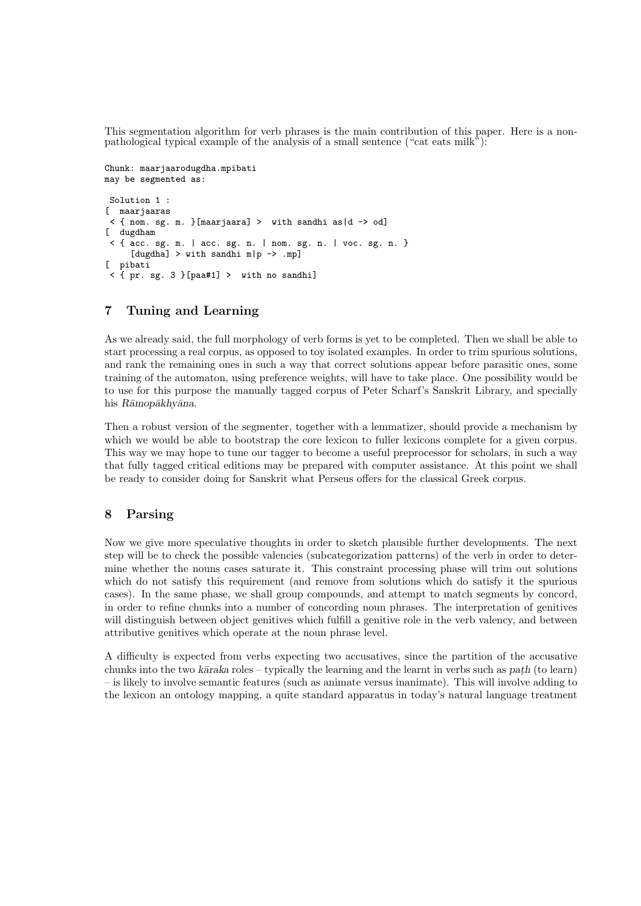This segmentation algorithm for verb phrases is the main contribution of this paper. Here is a nonpathological typical example of the analysis of a small sentence ("cat eats milk"):

```
Chunk: maarjaarodugdha.mpibati
may be segmented as:
Solution 1 :
[ maarjaaras
< { nom. sg. m. }[maarjaara] > with sandhi as|d -> od]
[ dugdham
 \leq { acc. sg. m. | acc. sg. n. | nom. sg. n. | voc. sg. n. }
     [dugdha] > with sandhi m|p -> .mp]
[ pibati
 < { pr. sg. 3 }[paa#1] > with no sandhi]
```
# 7 Tuning and Learning

As we already said, the full morphology of verb forms is yet to be completed. Then we shall be able to start processing a real corpus, as opposed to toy isolated examples. In order to trim spurious solutions, and rank the remaining ones in such a way that correct solutions appear before parasitic ones, some training of the automaton, using preference weights, will have to take place. One possibility would be to use for this purpose the manually tagged corpus of Peter Scharf's Sanskrit Library, and specially his Rāmopākhyāna.

Then a robust version of the segmenter, together with a lemmatizer, should provide a mechanism by which we would be able to bootstrap the core lexicon to fuller lexicons complete for a given corpus. This way we may hope to tune our tagger to become a useful preprocessor for scholars, in such a way that fully tagged critical editions may be prepared with computer assistance. At this point we shall be ready to consider doing for Sanskrit what Perseus offers for the classical Greek corpus.

# 8 Parsing

Now we give more speculative thoughts in order to sketch plausible further developments. The next step will be to check the possible valencies (subcategorization patterns) of the verb in order to determine whether the nouns cases saturate it. This constraint processing phase will trim out solutions which do not satisfy this requirement (and remove from solutions which do satisfy it the spurious cases). In the same phase, we shall group compounds, and attempt to match segments by concord, in order to refine chunks into a number of concording noun phrases. The interpretation of genitives will distinguish between object genitives which fulfill a genitive role in the verb valency, and between attributive genitives which operate at the noun phrase level.

A difficulty is expected from verbs expecting two accusatives, since the partition of the accusative chunks into the two k $\bar{a}$ raka roles – typically the learning and the learnt in verbs such as path (to learn) – is likely to involve semantic features (such as animate versus inanimate). This will involve adding to the lexicon an ontology mapping, a quite standard apparatus in today's natural language treatment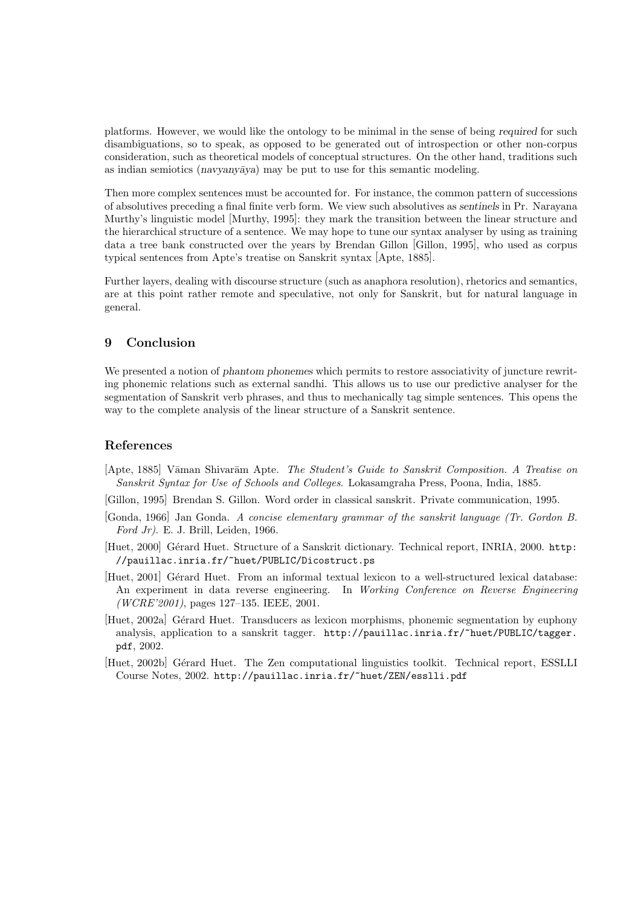platforms. However, we would like the ontology to be minimal in the sense of being required for such disambiguations, so to speak, as opposed to be generated out of introspection or other non-corpus consideration, such as theoretical models of conceptual structures. On the other hand, traditions such as indian semiotics (navyany $\bar{a}$ ya) may be put to use for this semantic modeling.

Then more complex sentences must be accounted for. For instance, the common pattern of successions of absolutives preceding a final finite verb form. We view such absolutives as sentinels in Pr. Narayana Murthy's linguistic model [Murthy, 1995]: they mark the transition between the linear structure and the hierarchical structure of a sentence. We may hope to tune our syntax analyser by using as training data a tree bank constructed over the years by Brendan Gillon [Gillon, 1995], who used as corpus typical sentences from Apte's treatise on Sanskrit syntax [Apte, 1885].

Further layers, dealing with discourse structure (such as anaphora resolution), rhetorics and semantics, are at this point rather remote and speculative, not only for Sanskrit, but for natural language in general.

#### 9 Conclusion

We presented a notion of phantom phonemes which permits to restore associativity of juncture rewriting phonemic relations such as external sandhi. This allows us to use our predictive analyser for the segmentation of Sanskrit verb phrases, and thus to mechanically tag simple sentences. This opens the way to the complete analysis of the linear structure of a Sanskrit sentence.

#### References

- [Apte, 1885] Vāman Shivarām Apte. The Student's Guide to Sanskrit Composition. A Treatise on Sanskrit Syntax for Use of Schools and Colleges. Lokasamgraha Press, Poona, India, 1885.
- [Gillon, 1995] Brendan S. Gillon. Word order in classical sanskrit. Private communication, 1995.
- [Gonda, 1966] Jan Gonda. A concise elementary grammar of the sanskrit language (Tr. Gordon B. Ford Jr). E. J. Brill, Leiden,  $1966$ .
- [Huet, 2000] Gérard Huet. Structure of a Sanskrit dictionary. Technical report, INRIA, 2000. http: //pauillac.inria.fr/~huet/PUBLIC/Dicostruct.ps
- [Huet, 2001] Gérard Huet. From an informal textual lexicon to a well-structured lexical database: An experiment in data reverse engineering. In *Working Conference on Reverse Engineering*  $(WCRE'2001)$ , pages 127–135. IEEE, 2001.
- [Huet, 2002a] Gérard Huet. Transducers as lexicon morphisms, phonemic segmentation by euphony analysis, application to a sanskrit tagger. http://pauillac.inria.fr/~huet/PUBLIC/tagger. pdf, 2002.
- [Huet, 2002b] Gérard Huet. The Zen computational linguistics toolkit. Technical report, ESSLLI Course Notes, 2002. http://pauillac.inria.fr/~huet/ZEN/esslli.pdf